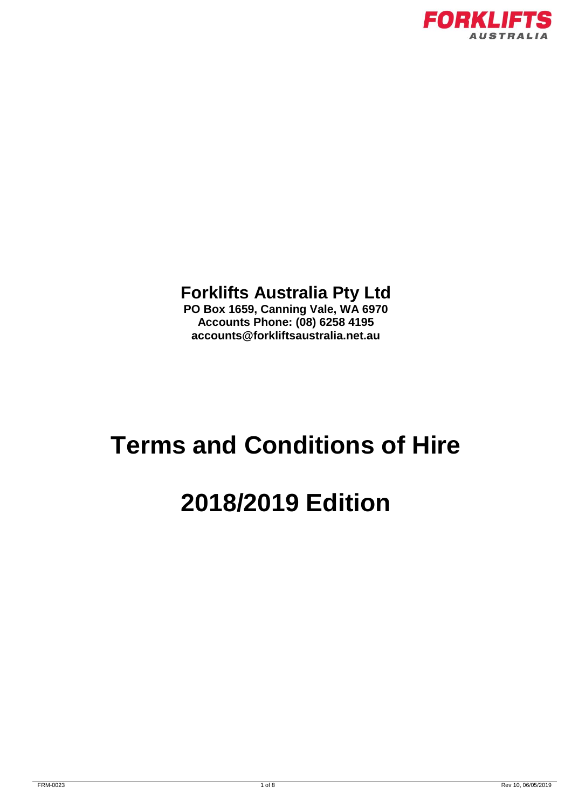

### **Forklifts Australia Pty Ltd**

**PO Box 1659, Canning Vale, WA 6970 Accounts Phone: (08) 6258 4195 accounts@forkliftsaustralia.net.au**

## **Terms and Conditions of Hire**

# **2018/2019 Edition**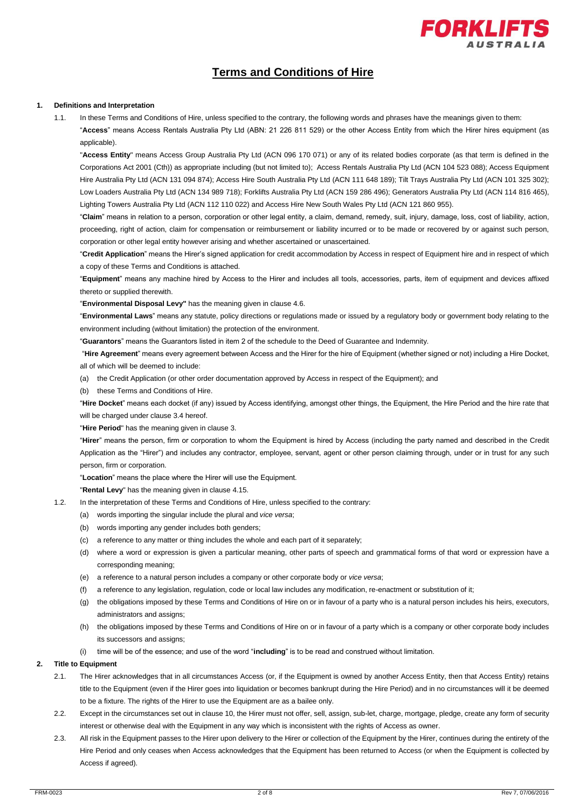

### **Terms and Conditions of Hire**

#### **1. Definitions and Interpretation**

1.1. In these Terms and Conditions of Hire, unless specified to the contrary, the following words and phrases have the meanings given to them: "**Access**" means Access Rentals Australia Pty Ltd (ABN: 21 226 811 529) or the other Access Entity from which the Hirer hires equipment (as applicable).

"**Access Entity**" means Access Group Australia Pty Ltd (ACN 096 170 071) or any of its related bodies corporate (as that term is defined in the Corporations Act 2001 (Cth)) as appropriate including (but not limited to); Access Rentals Australia Pty Ltd (ACN 104 523 088); Access Equipment Hire Australia Pty Ltd (ACN 131 094 874); Access Hire South Australia Pty Ltd (ACN 111 648 189); Tilt Trays Australia Pty Ltd (ACN 101 325 302); Low Loaders Australia Pty Ltd (ACN 134 989 718); Forklifts Australia Pty Ltd (ACN 159 286 496); Generators Australia Pty Ltd (ACN 114 816 465), Lighting Towers Australia Pty Ltd (ACN 112 110 022) and Access Hire New South Wales Pty Ltd (ACN 121 860 955).

"**Claim**" means in relation to a person, corporation or other legal entity, a claim, demand, remedy, suit, injury, damage, loss, cost of liability, action, proceeding, right of action, claim for compensation or reimbursement or liability incurred or to be made or recovered by or against such person, corporation or other legal entity however arising and whether ascertained or unascertained.

"**Credit Application**" means the Hirer's signed application for credit accommodation by Access in respect of Equipment hire and in respect of which a copy of these Terms and Conditions is attached.

"**Equipment**" means any machine hired by Access to the Hirer and includes all tools, accessories, parts, item of equipment and devices affixed thereto or supplied therewith.

"**Environmental Disposal Levy"** has the meaning given in claus[e 4.6.](#page-2-0)

"**Environmental Laws**" means any statute, policy directions or regulations made or issued by a regulatory body or government body relating to the environment including (without limitation) the protection of the environment.

"**Guarantors**" means the Guarantors listed in item 2 of the schedule to the Deed of Guarantee and Indemnity.

"**Hire Agreement**" means every agreement between Access and the Hirer for the hire of Equipment (whether signed or not) including a Hire Docket, all of which will be deemed to include:

(a) the Credit Application (or other order documentation approved by Access in respect of the Equipment); and

(b) these Terms and Conditions of Hire.

"**Hire Docket**" means each docket (if any) issued by Access identifying, amongst other things, the Equipment, the Hire Period and the hire rate that will be charged under clause 3.4 hereof.

"**Hire Period**" has the meaning given in clause 3.

"**Hirer**" means the person, firm or corporation to whom the Equipment is hired by Access (including the party named and described in the Credit Application as the "Hirer") and includes any contractor, employee, servant, agent or other person claiming through, under or in trust for any such person, firm or corporation.

"**Location**" means the place where the Hirer will use the Equipment.

"**Rental Levy**" has the meaning given in claus[e 4.15.](#page-3-0)

- 1.2. In the interpretation of these Terms and Conditions of Hire, unless specified to the contrary:
	- (a) words importing the singular include the plural and *vice versa*;
	- (b) words importing any gender includes both genders;
	- (c) a reference to any matter or thing includes the whole and each part of it separately;
	- (d) where a word or expression is given a particular meaning, other parts of speech and grammatical forms of that word or expression have a corresponding meaning;
	- (e) a reference to a natural person includes a company or other corporate body or *vice versa*;
	- (f) a reference to any legislation, regulation, code or local law includes any modification, re-enactment or substitution of it;
	- (g) the obligations imposed by these Terms and Conditions of Hire on or in favour of a party who is a natural person includes his heirs, executors, administrators and assigns;
	- (h) the obligations imposed by these Terms and Conditions of Hire on or in favour of a party which is a company or other corporate body includes its successors and assigns;
	- (i) time will be of the essence; and use of the word "**including**" is to be read and construed without limitation.

#### **2. Title to Equipment**

- 2.1. The Hirer acknowledges that in all circumstances Access (or, if the Equipment is owned by another Access Entity, then that Access Entity) retains title to the Equipment (even if the Hirer goes into liquidation or becomes bankrupt during the Hire Period) and in no circumstances will it be deemed to be a fixture. The rights of the Hirer to use the Equipment are as a bailee only.
- 2.2. Except in the circumstances set out in clause 10, the Hirer must not offer, sell, assign, sub-let, charge, mortgage, pledge, create any form of security interest or otherwise deal with the Equipment in any way which is inconsistent with the rights of Access as owner.
- 2.3. All risk in the Equipment passes to the Hirer upon delivery to the Hirer or collection of the Equipment by the Hirer, continues during the entirety of the Hire Period and only ceases when Access acknowledges that the Equipment has been returned to Access (or when the Equipment is collected by Access if agreed).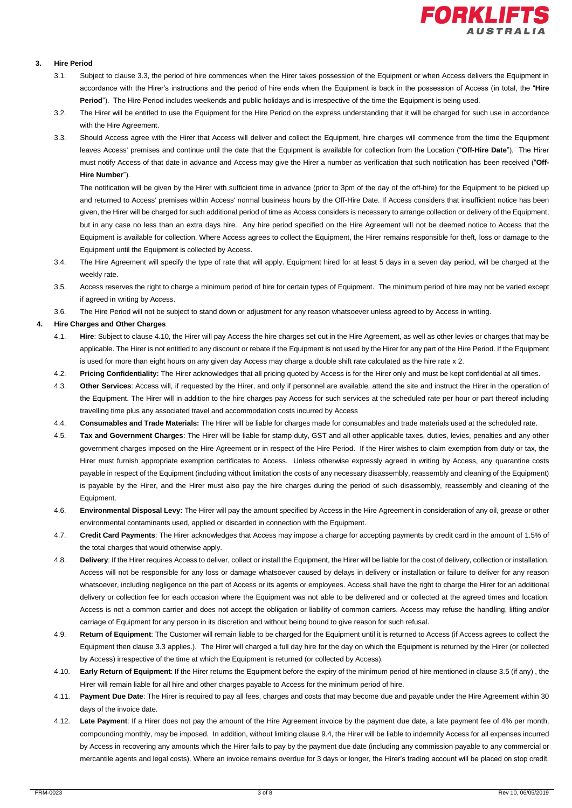

#### **3. Hire Period**

- 3.1. Subject to clause 3.3, the period of hire commences when the Hirer takes possession of the Equipment or when Access delivers the Equipment in accordance with the Hirer's instructions and the period of hire ends when the Equipment is back in the possession of Access (in total, the "**Hire Period**"). The Hire Period includes weekends and public holidays and is irrespective of the time the Equipment is being used.
- 3.2. The Hirer will be entitled to use the Equipment for the Hire Period on the express understanding that it will be charged for such use in accordance with the Hire Agreement.
- 3.3. Should Access agree with the Hirer that Access will deliver and collect the Equipment, hire charges will commence from the time the Equipment leaves Access' premises and continue until the date that the Equipment is available for collection from the Location ("**Off-Hire Date**"). The Hirer must notify Access of that date in advance and Access may give the Hirer a number as verification that such notification has been received ("**Off-Hire Number**").

The notification will be given by the Hirer with sufficient time in advance (prior to 3pm of the day of the off-hire) for the Equipment to be picked up and returned to Access' premises within Access' normal business hours by the Off-Hire Date. If Access considers that insufficient notice has been given, the Hirer will be charged for such additional period of time as Access considers is necessary to arrange collection or delivery of the Equipment, but in any case no less than an extra days hire. Any hire period specified on the Hire Agreement will not be deemed notice to Access that the Equipment is available for collection. Where Access agrees to collect the Equipment, the Hirer remains responsible for theft, loss or damage to the Equipment until the Equipment is collected by Access.

- 3.4. The Hire Agreement will specify the type of rate that will apply. Equipment hired for at least 5 days in a seven day period, will be charged at the weekly rate.
- 3.5. Access reserves the right to charge a minimum period of hire for certain types of Equipment. The minimum period of hire may not be varied except if agreed in writing by Access.
- 3.6. The Hire Period will not be subject to stand down or adjustment for any reason whatsoever unless agreed to by Access in writing.

#### **4. Hire Charges and Other Charges**

- 4.1. **Hire**: Subject to clause 4.10, the Hirer will pay Access the hire charges set out in the Hire Agreement, as well as other levies or charges that may be applicable. The Hirer is not entitled to any discount or rebate if the Equipment is not used by the Hirer for any part of the Hire Period. If the Equipment is used for more than eight hours on any given day Access may charge a double shift rate calculated as the hire rate x 2.
- 4.2. **Pricing Confidentiality:** The Hirer acknowledges that all pricing quoted by Access is for the Hirer only and must be kept confidential at all times.
- 4.3. **Other Services**: Access will, if requested by the Hirer, and only if personnel are available, attend the site and instruct the Hirer in the operation of the Equipment. The Hirer will in addition to the hire charges pay Access for such services at the scheduled rate per hour or part thereof including travelling time plus any associated travel and accommodation costs incurred by Access
- 4.4. **Consumables and Trade Materials:** The Hirer will be liable for charges made for consumables and trade materials used at the scheduled rate.
- 4.5. **Tax and Government Charges**: The Hirer will be liable for stamp duty, GST and all other applicable taxes, duties, levies, penalties and any other government charges imposed on the Hire Agreement or in respect of the Hire Period. If the Hirer wishes to claim exemption from duty or tax, the Hirer must furnish appropriate exemption certificates to Access. Unless otherwise expressly agreed in writing by Access, any quarantine costs payable in respect of the Equipment (including without limitation the costs of any necessary disassembly, reassembly and cleaning of the Equipment) is payable by the Hirer, and the Hirer must also pay the hire charges during the period of such disassembly, reassembly and cleaning of the Equipment.
- <span id="page-2-0"></span>4.6. **Environmental Disposal Levy:** The Hirer will pay the amount specified by Access in the Hire Agreement in consideration of any oil, grease or other environmental contaminants used, applied or discarded in connection with the Equipment.
- 4.7. **Credit Card Payments**: The Hirer acknowledges that Access may impose a charge for accepting payments by credit card in the amount of 1.5% of the total charges that would otherwise apply.
- 4.8. **Delivery**: If the Hirer requires Access to deliver, collect or install the Equipment, the Hirer will be liable for the cost of delivery, collection or installation. Access will not be responsible for any loss or damage whatsoever caused by delays in delivery or installation or failure to deliver for any reason whatsoever, including negligence on the part of Access or its agents or employees. Access shall have the right to charge the Hirer for an additional delivery or collection fee for each occasion where the Equipment was not able to be delivered and or collected at the agreed times and location. Access is not a common carrier and does not accept the obligation or liability of common carriers. Access may refuse the handling, lifting and/or carriage of Equipment for any person in its discretion and without being bound to give reason for such refusal.
- 4.9. **Return of Equipment**: The Customer will remain liable to be charged for the Equipment until it is returned to Access (if Access agrees to collect the Equipment then clause 3.3 applies.). The Hirer will charged a full day hire for the day on which the Equipment is returned by the Hirer (or collected by Access) irrespective of the time at which the Equipment is returned (or collected by Access).
- 4.10. **Early Return of Equipment**: If the Hirer returns the Equipment before the expiry of the minimum period of hire mentioned in clause 3.5 (if any) , the Hirer will remain liable for all hire and other charges payable to Access for the minimum period of hire.
- 4.11. **Payment Due Date**: The Hirer is required to pay all fees, charges and costs that may become due and payable under the Hire Agreement within 30 days of the invoice date.
- 4.12. **Late Payment**: If a Hirer does not pay the amount of the Hire Agreement invoice by the payment due date, a late payment fee of 4% per month, compounding monthly, may be imposed. In addition, without limiting clause 9.4, the Hirer will be liable to indemnify Access for all expenses incurred by Access in recovering any amounts which the Hirer fails to pay by the payment due date (including any commission payable to any commercial or mercantile agents and legal costs). Where an invoice remains overdue for 3 days or longer, the Hirer's trading account will be placed on stop credit.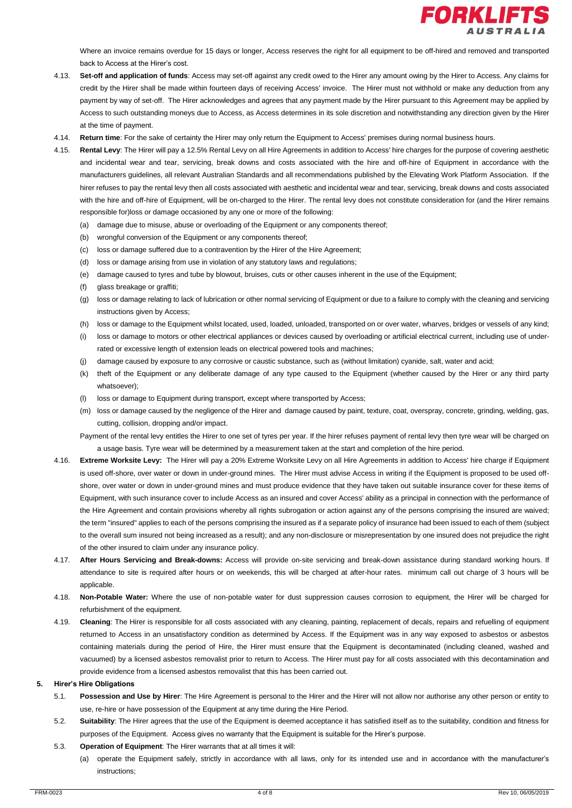

Where an invoice remains overdue for 15 days or longer. Access reserves the right for all equipment to be off-hired and removed and transported back to Access at the Hirer's cost.

- 4.13. **Set-off and application of funds**: Access may set-off against any credit owed to the Hirer any amount owing by the Hirer to Access. Any claims for credit by the Hirer shall be made within fourteen days of receiving Access' invoice. The Hirer must not withhold or make any deduction from any payment by way of set-off. The Hirer acknowledges and agrees that any payment made by the Hirer pursuant to this Agreement may be applied by Access to such outstanding moneys due to Access, as Access determines in its sole discretion and notwithstanding any direction given by the Hirer at the time of payment.
- 4.14. **Return time**: For the sake of certainty the Hirer may only return the Equipment to Access' premises during normal business hours.
- <span id="page-3-0"></span>4.15. **Rental Levy**: The Hirer will pay a 12.5% Rental Levy on all Hire Agreements in addition to Access' hire charges for the purpose of covering aesthetic and incidental wear and tear, servicing, break downs and costs associated with the hire and off-hire of Equipment in accordance with the manufacturers guidelines, all relevant Australian Standards and all recommendations published by the Elevating Work Platform Association. If the hirer refuses to pay the rental levy then all costs associated with aesthetic and incidental wear and tear, servicing, break downs and costs associated with the hire and off-hire of Equipment, will be on-charged to the Hirer. The rental levy does not constitute consideration for (and the Hirer remains responsible for)loss or damage occasioned by any one or more of the following:
	- (a) damage due to misuse, abuse or overloading of the Equipment or any components thereof;
	- (b) wrongful conversion of the Equipment or any components thereof;
	- (c) loss or damage suffered due to a contravention by the Hirer of the Hire Agreement;
	- (d) loss or damage arising from use in violation of any statutory laws and regulations;
	- (e) damage caused to tyres and tube by blowout, bruises, cuts or other causes inherent in the use of the Equipment;
	- (f) glass breakage or graffiti;
	- (g) loss or damage relating to lack of lubrication or other normal servicing of Equipment or due to a failure to comply with the cleaning and servicing instructions given by Access;
	- (h) loss or damage to the Equipment whilst located, used, loaded, unloaded, transported on or over water, wharves, bridges or vessels of any kind;
	- (i) loss or damage to motors or other electrical appliances or devices caused by overloading or artificial electrical current, including use of underrated or excessive length of extension leads on electrical powered tools and machines;
	- (j) damage caused by exposure to any corrosive or caustic substance, such as (without limitation) cyanide, salt, water and acid;
	- (k) theft of the Equipment or any deliberate damage of any type caused to the Equipment (whether caused by the Hirer or any third party whatsoever);
	- (l) loss or damage to Equipment during transport, except where transported by Access;
	- (m) loss or damage caused by the negligence of the Hirer and damage caused by paint, texture, coat, overspray, concrete, grinding, welding, gas, cutting, collision, dropping and/or impact.
	- Payment of the rental levy entitles the Hirer to one set of tyres per year. If the hirer refuses payment of rental levy then tyre wear will be charged on a usage basis. Tyre wear will be determined by a measurement taken at the start and completion of the hire period.
- 4.16. **Extreme Worksite Levy:** The Hirer will pay a 20% Extreme Worksite Levy on all Hire Agreements in addition to Access' hire charge if Equipment is used off-shore, over water or down in under-ground mines. The Hirer must advise Access in writing if the Equipment is proposed to be used offshore, over water or down in under-ground mines and must produce evidence that they have taken out suitable insurance cover for these items of Equipment, with such insurance cover to include Access as an insured and cover Access' ability as a principal in connection with the performance of the Hire Agreement and contain provisions whereby all rights subrogation or action against any of the persons comprising the insured are waived; the term "insured" applies to each of the persons comprising the insured as if a separate policy of insurance had been issued to each of them (subject to the overall sum insured not being increased as a result); and any non-disclosure or misrepresentation by one insured does not prejudice the right of the other insured to claim under any insurance policy.
- 4.17. **After Hours Servicing and Break-downs:** Access will provide on-site servicing and break-down assistance during standard working hours. If attendance to site is required after hours or on weekends, this will be charged at after-hour rates. minimum call out charge of 3 hours will be applicable.
- 4.18. **Non-Potable Water:** Where the use of non-potable water for dust suppression causes corrosion to equipment, the Hirer will be charged for refurbishment of the equipment.
- 4.19. **Cleaning**: The Hirer is responsible for all costs associated with any cleaning, painting, replacement of decals, repairs and refuelling of equipment returned to Access in an unsatisfactory condition as determined by Access. If the Equipment was in any way exposed to asbestos or asbestos containing materials during the period of Hire, the Hirer must ensure that the Equipment is decontaminated (including cleaned, washed and vacuumed) by a licensed asbestos removalist prior to return to Access. The Hirer must pay for all costs associated with this decontamination and provide evidence from a licensed asbestos removalist that this has been carried out.

#### **5. Hirer's Hire Obligations**

- 5.1. **Possession and Use by Hirer**: The Hire Agreement is personal to the Hirer and the Hirer will not allow nor authorise any other person or entity to use, re-hire or have possession of the Equipment at any time during the Hire Period.
- 5.2. **Suitability**: The Hirer agrees that the use of the Equipment is deemed acceptance it has satisfied itself as to the suitability, condition and fitness for purposes of the Equipment. Access gives no warranty that the Equipment is suitable for the Hirer's purpose.
- 5.3. **Operation of Equipment**: The Hirer warrants that at all times it will:
	- (a) operate the Equipment safely, strictly in accordance with all laws, only for its intended use and in accordance with the manufacturer's instructions;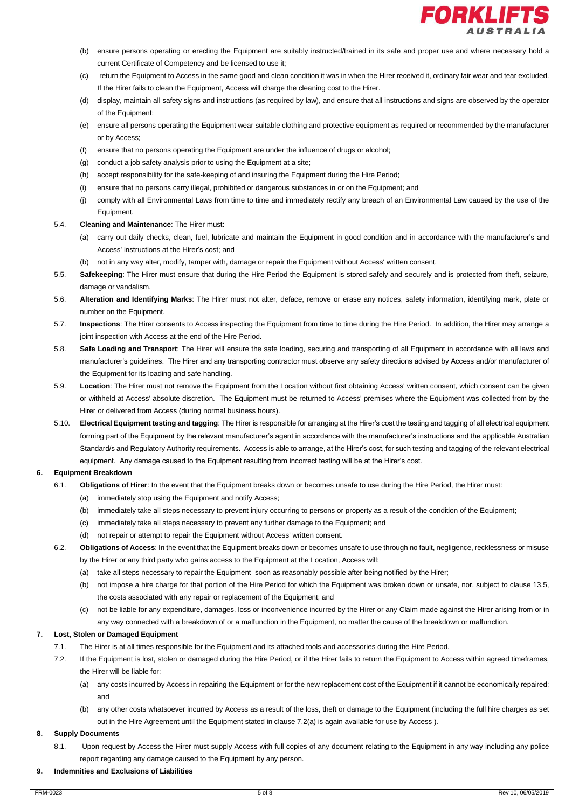

- (b) ensure persons operating or erecting the Equipment are suitably instructed/trained in its safe and proper use and where necessary hold a current Certificate of Competency and be licensed to use it;
- (c) return the Equipment to Access in the same good and clean condition it was in when the Hirer received it, ordinary fair wear and tear excluded. If the Hirer fails to clean the Equipment, Access will charge the cleaning cost to the Hirer.
- (d) display, maintain all safety signs and instructions (as required by law), and ensure that all instructions and signs are observed by the operator of the Equipment;
- (e) ensure all persons operating the Equipment wear suitable clothing and protective equipment as required or recommended by the manufacturer or by Access;
- (f) ensure that no persons operating the Equipment are under the influence of drugs or alcohol;
- (g) conduct a job safety analysis prior to using the Equipment at a site;
- (h) accept responsibility for the safe-keeping of and insuring the Equipment during the Hire Period;
- (i) ensure that no persons carry illegal, prohibited or dangerous substances in or on the Equipment; and
- (j) comply with all Environmental Laws from time to time and immediately rectify any breach of an Environmental Law caused by the use of the Equipment.
- 5.4. **Cleaning and Maintenance**: The Hirer must:
	- (a) carry out daily checks, clean, fuel, lubricate and maintain the Equipment in good condition and in accordance with the manufacturer's and Access' instructions at the Hirer's cost; and
	- (b) not in any way alter, modify, tamper with, damage or repair the Equipment without Access' written consent.
- 5.5. **Safekeeping**: The Hirer must ensure that during the Hire Period the Equipment is stored safely and securely and is protected from theft, seizure, damage or vandalism.
- 5.6. **Alteration and Identifying Marks**: The Hirer must not alter, deface, remove or erase any notices, safety information, identifying mark, plate or number on the Equipment.
- 5.7. **Inspections**: The Hirer consents to Access inspecting the Equipment from time to time during the Hire Period. In addition, the Hirer may arrange a joint inspection with Access at the end of the Hire Period.
- 5.8. **Safe Loading and Transport**: The Hirer will ensure the safe loading, securing and transporting of all Equipment in accordance with all laws and manufacturer's guidelines. The Hirer and any transporting contractor must observe any safety directions advised by Access and/or manufacturer of the Equipment for its loading and safe handling.
- 5.9. **Location**: The Hirer must not remove the Equipment from the Location without first obtaining Access' written consent, which consent can be given or withheld at Access' absolute discretion. The Equipment must be returned to Access' premises where the Equipment was collected from by the Hirer or delivered from Access (during normal business hours).
- 5.10. **Electrical Equipment testing and tagging**: The Hirer is responsible for arranging at the Hirer's cost the testing and tagging of all electrical equipment forming part of the Equipment by the relevant manufacturer's agent in accordance with the manufacturer's instructions and the applicable Australian Standard/s and Regulatory Authority requirements. Access is able to arrange, at the Hirer's cost, for such testing and tagging of the relevant electrical equipment. Any damage caused to the Equipment resulting from incorrect testing will be at the Hirer's cost.

#### **6. Equipment Breakdown**

- 6.1. **Obligations of Hirer**: In the event that the Equipment breaks down or becomes unsafe to use during the Hire Period, the Hirer must:
	- (a) immediately stop using the Equipment and notify Access;
	- (b) immediately take all steps necessary to prevent injury occurring to persons or property as a result of the condition of the Equipment;
	- (c) immediately take all steps necessary to prevent any further damage to the Equipment; and
	- (d) not repair or attempt to repair the Equipment without Access' written consent.
- 6.2. **Obligations of Access**: In the event that the Equipment breaks down or becomes unsafe to use through no fault, negligence, recklessness or misuse by the Hirer or any third party who gains access to the Equipment at the Location, Access will:
	- (a) take all steps necessary to repair the Equipment soon as reasonably possible after being notified by the Hirer;
	- (b) not impose a hire charge for that portion of the Hire Period for which the Equipment was broken down or unsafe, nor, subject to clause 13.5, the costs associated with any repair or replacement of the Equipment; and
	- (c) not be liable for any expenditure, damages, loss or inconvenience incurred by the Hirer or any Claim made against the Hirer arising from or in any way connected with a breakdown of or a malfunction in the Equipment, no matter the cause of the breakdown or malfunction.

#### **7. Lost, Stolen or Damaged Equipment**

- 7.1. The Hirer is at all times responsible for the Equipment and its attached tools and accessories during the Hire Period.
- 7.2. If the Equipment is lost, stolen or damaged during the Hire Period, or if the Hirer fails to return the Equipment to Access within agreed timeframes, the Hirer will be liable for:
	- (a) any costs incurred by Access in repairing the Equipment or for the new replacement cost of the Equipment if it cannot be economically repaired; and
	- (b) any other costs whatsoever incurred by Access as a result of the loss, theft or damage to the Equipment (including the full hire charges as set out in the Hire Agreement until the Equipment stated in clause 7.2(a) is again available for use by Access ).

#### **8. Supply Documents**

8.1. Upon request by Access the Hirer must supply Access with full copies of any document relating to the Equipment in any way including any police report regarding any damage caused to the Equipment by any person.

#### **9. Indemnities and Exclusions of Liabilities**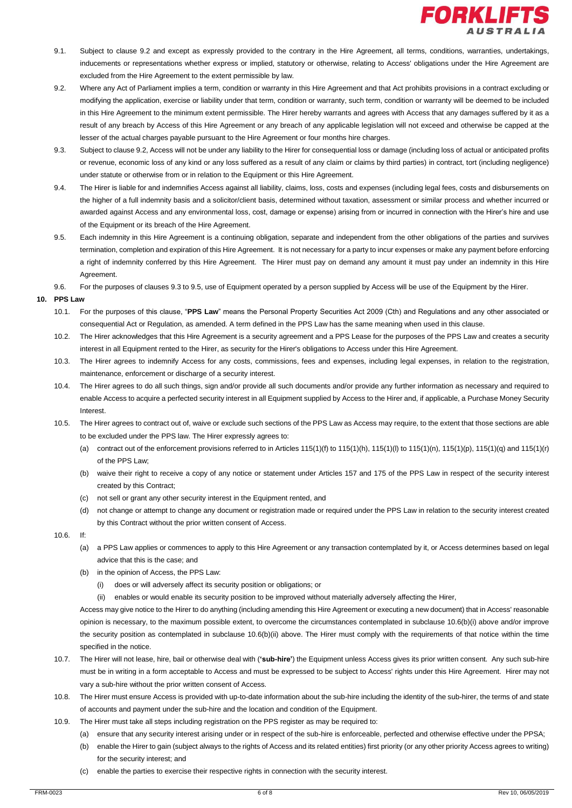

- 9.1. Subject to clause 9.2 and except as expressly provided to the contrary in the Hire Agreement, all terms, conditions, warranties, undertakings, inducements or representations whether express or implied, statutory or otherwise, relating to Access' obligations under the Hire Agreement are excluded from the Hire Agreement to the extent permissible by law.
- 9.2. Where any Act of Parliament implies a term, condition or warranty in this Hire Agreement and that Act prohibits provisions in a contract excluding or modifying the application, exercise or liability under that term, condition or warranty, such term, condition or warranty will be deemed to be included in this Hire Agreement to the minimum extent permissible. The Hirer hereby warrants and agrees with Access that any damages suffered by it as a result of any breach by Access of this Hire Agreement or any breach of any applicable legislation will not exceed and otherwise be capped at the lesser of the actual charges payable pursuant to the Hire Agreement or four months hire charges.
- 9.3. Subject to clause 9.2, Access will not be under any liability to the Hirer for consequential loss or damage (including loss of actual or anticipated profits or revenue, economic loss of any kind or any loss suffered as a result of any claim or claims by third parties) in contract, tort (including negligence) under statute or otherwise from or in relation to the Equipment or this Hire Agreement.
- 9.4. The Hirer is liable for and indemnifies Access against all liability, claims, loss, costs and expenses (including legal fees, costs and disbursements on the higher of a full indemnity basis and a solicitor/client basis, determined without taxation, assessment or similar process and whether incurred or awarded against Access and any environmental loss, cost, damage or expense) arising from or incurred in connection with the Hirer's hire and use of the Equipment or its breach of the Hire Agreement.
- 9.5. Each indemnity in this Hire Agreement is a continuing obligation, separate and independent from the other obligations of the parties and survives termination, completion and expiration of this Hire Agreement. It is not necessary for a party to incur expenses or make any payment before enforcing a right of indemnity conferred by this Hire Agreement. The Hirer must pay on demand any amount it must pay under an indemnity in this Hire Agreement.
- 9.6. For the purposes of clauses 9.3 to 9.5, use of Equipment operated by a person supplied by Access will be use of the Equipment by the Hirer.

#### **10. PPS Law**

- 10.1. For the purposes of this clause, "**PPS Law**" means the Personal Property Securities Act 2009 (Cth) and Regulations and any other associated or consequential Act or Regulation, as amended. A term defined in the PPS Law has the same meaning when used in this clause.
- 10.2. The Hirer acknowledges that this Hire Agreement is a security agreement and a PPS Lease for the purposes of the PPS Law and creates a security interest in all Equipment rented to the Hirer, as security for the Hirer's obligations to Access under this Hire Agreement.
- 10.3. The Hirer agrees to indemnify Access for any costs, commissions, fees and expenses, including legal expenses, in relation to the registration, maintenance, enforcement or discharge of a security interest.
- 10.4. The Hirer agrees to do all such things, sign and/or provide all such documents and/or provide any further information as necessary and required to enable Access to acquire a perfected security interest in all Equipment supplied by Access to the Hirer and, if applicable, a Purchase Money Security Interest.
- 10.5. The Hirer agrees to contract out of, waive or exclude such sections of the PPS Law as Access may require, to the extent that those sections are able to be excluded under the PPS law. The Hirer expressly agrees to:
	- (a) contract out of the enforcement provisions referred to in Articles 115(1)(f) to 115(1)(h), 115(1)(l) to 115(1)(n), 115(1)(p), 115(1)(q) and 115(1)(r) of the PPS Law;
	- (b) waive their right to receive a copy of any notice or statement under Articles 157 and 175 of the PPS Law in respect of the security interest created by this Contract;
	- (c) not sell or grant any other security interest in the Equipment rented, and
	- (d) not change or attempt to change any document or registration made or required under the PPS Law in relation to the security interest created by this Contract without the prior written consent of Access.
- $10.6$  If:
	- (a) a PPS Law applies or commences to apply to this Hire Agreement or any transaction contemplated by it, or Access determines based on legal advice that this is the case; and
	- (b) in the opinion of Access, the PPS Law:
		- (i) does or will adversely affect its security position or obligations; or
		- enables or would enable its security position to be improved without materially adversely affecting the Hirer,

Access may give notice to the Hirer to do anything (including amending this Hire Agreement or executing a new document) that in Access' reasonable opinion is necessary, to the maximum possible extent, to overcome the circumstances contemplated in subclause 10.6(b)(i) above and/or improve the security position as contemplated in subclause 10.6(b)(ii) above. The Hirer must comply with the requirements of that notice within the time specified in the notice.

- 10.7. The Hirer will not lease, hire, bail or otherwise deal with (**'sub-hire'**) the Equipment unless Access gives its prior written consent. Any such sub-hire must be in writing in a form acceptable to Access and must be expressed to be subject to Access' rights under this Hire Agreement. Hirer may not vary a sub-hire without the prior written consent of Access.
- 10.8. The Hirer must ensure Access is provided with up-to-date information about the sub-hire including the identity of the sub-hirer, the terms of and state of accounts and payment under the sub-hire and the location and condition of the Equipment.
- 10.9. The Hirer must take all steps including registration on the PPS register as may be required to:
	- (a) ensure that any security interest arising under or in respect of the sub-hire is enforceable, perfected and otherwise effective under the PPSA;
		- (b) enable the Hirer to gain (subject always to the rights of Access and its related entities) first priority (or any other priority Access agrees to writing) for the security interest; and
		- (c) enable the parties to exercise their respective rights in connection with the security interest.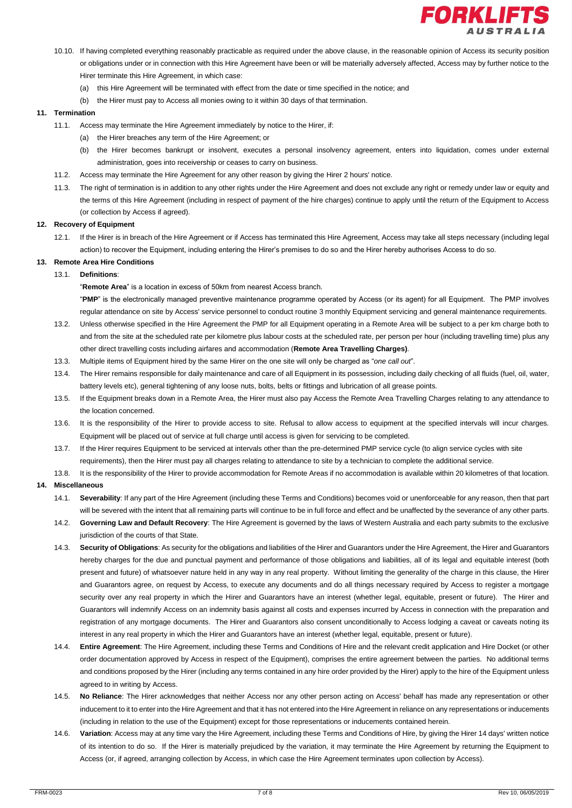

- 10.10. If having completed everything reasonably practicable as required under the above clause, in the reasonable opinion of Access its security position
	- or obligations under or in connection with this Hire Agreement have been or will be materially adversely affected, Access may by further notice to the Hirer terminate this Hire Agreement, in which case:
	- (a) this Hire Agreement will be terminated with effect from the date or time specified in the notice; and
	- (b) the Hirer must pay to Access all monies owing to it within 30 days of that termination.

#### **11. Termination**

- 11.1. Access may terminate the Hire Agreement immediately by notice to the Hirer, if:
	- (a) the Hirer breaches any term of the Hire Agreement; or
	- (b) the Hirer becomes bankrupt or insolvent, executes a personal insolvency agreement, enters into liquidation, comes under external administration, goes into receivership or ceases to carry on business.
- 11.2. Access may terminate the Hire Agreement for any other reason by giving the Hirer 2 hours' notice.
- 11.3. The right of termination is in addition to any other rights under the Hire Agreement and does not exclude any right or remedy under law or equity and the terms of this Hire Agreement (including in respect of payment of the hire charges) continue to apply until the return of the Equipment to Access (or collection by Access if agreed).

#### **12. Recovery of Equipment**

12.1. If the Hirer is in breach of the Hire Agreement or if Access has terminated this Hire Agreement, Access may take all steps necessary (including legal action) to recover the Equipment, including entering the Hirer's premises to do so and the Hirer hereby authorises Access to do so.

#### **13. Remote Area Hire Conditions**

13.1. **Definitions**:

"**Remote Area**" is a location in excess of 50km from nearest Access branch.

"**PMP**" is the electronically managed preventive maintenance programme operated by Access (or its agent) for all Equipment. The PMP involves regular attendance on site by Access' service personnel to conduct routine 3 monthly Equipment servicing and general maintenance requirements.

- 13.2. Unless otherwise specified in the Hire Agreement the PMP for all Equipment operating in a Remote Area will be subject to a per km charge both to and from the site at the scheduled rate per kilometre plus labour costs at the scheduled rate, per person per hour (including travelling time) plus any other direct travelling costs including airfares and accommodation (**Remote Area Travelling Charges)**.
- 13.3. Multiple items of Equipment hired by the same Hirer on the one site will only be charged as "*one call out*".
- 13.4. The Hirer remains responsible for daily maintenance and care of all Equipment in its possession, including daily checking of all fluids (fuel, oil, water, battery levels etc), general tightening of any loose nuts, bolts, belts or fittings and lubrication of all grease points.
- 13.5. If the Equipment breaks down in a Remote Area, the Hirer must also pay Access the Remote Area Travelling Charges relating to any attendance to the location concerned.
- 13.6. It is the responsibility of the Hirer to provide access to site. Refusal to allow access to equipment at the specified intervals will incur charges. Equipment will be placed out of service at full charge until access is given for servicing to be completed.
- 13.7. If the Hirer requires Equipment to be serviced at intervals other than the pre-determined PMP service cycle (to align service cycles with site requirements), then the Hirer must pay all charges relating to attendance to site by a technician to complete the additional service.
- 13.8. It is the responsibility of the Hirer to provide accommodation for Remote Areas if no accommodation is available within 20 kilometres of that location.

#### **14. Miscellaneous**

- 14.1. **Severability**: If any part of the Hire Agreement (including these Terms and Conditions) becomes void or unenforceable for any reason, then that part will be severed with the intent that all remaining parts will continue to be in full force and effect and be unaffected by the severance of any other parts.
- 14.2. **Governing Law and Default Recovery**: The Hire Agreement is governed by the laws of Western Australia and each party submits to the exclusive jurisdiction of the courts of that State.
- 14.3. **Security of Obligations**: As security for the obligations and liabilities of the Hirer and Guarantors under the Hire Agreement, the Hirer and Guarantors hereby charges for the due and punctual payment and performance of those obligations and liabilities, all of its legal and equitable interest (both present and future) of whatsoever nature held in any way in any real property. Without limiting the generality of the charge in this clause, the Hirer and Guarantors agree, on request by Access, to execute any documents and do all things necessary required by Access to register a mortgage security over any real property in which the Hirer and Guarantors have an interest (whether legal, equitable, present or future). The Hirer and Guarantors will indemnify Access on an indemnity basis against all costs and expenses incurred by Access in connection with the preparation and registration of any mortgage documents. The Hirer and Guarantors also consent unconditionally to Access lodging a caveat or caveats noting its interest in any real property in which the Hirer and Guarantors have an interest (whether legal, equitable, present or future).
- 14.4. **Entire Agreement**: The Hire Agreement, including these Terms and Conditions of Hire and the relevant credit application and Hire Docket (or other order documentation approved by Access in respect of the Equipment), comprises the entire agreement between the parties. No additional terms and conditions proposed by the Hirer (including any terms contained in any hire order provided by the Hirer) apply to the hire of the Equipment unless agreed to in writing by Access.
- 14.5. **No Reliance**: The Hirer acknowledges that neither Access nor any other person acting on Access' behalf has made any representation or other inducement to it to enter into the Hire Agreement and that it has not entered into the Hire Agreement in reliance on any representations or inducements (including in relation to the use of the Equipment) except for those representations or inducements contained herein.
- 14.6. **Variation**: Access may at any time vary the Hire Agreement, including these Terms and Conditions of Hire, by giving the Hirer 14 days' written notice of its intention to do so. If the Hirer is materially prejudiced by the variation, it may terminate the Hire Agreement by returning the Equipment to Access (or, if agreed, arranging collection by Access, in which case the Hire Agreement terminates upon collection by Access).